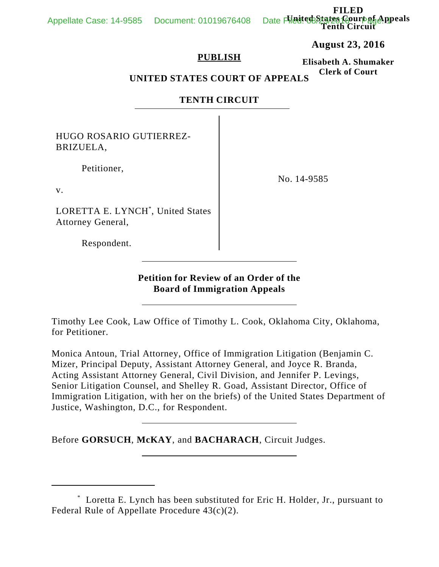**FILED United States Court of Appeals Tenth Circuit**

**August 23, 2016**

#### **PUBLISH**

**Elisabeth A. Shumaker Clerk of Court**

## **UNITED STATES COURT OF APPEALS**

# **TENTH CIRCUIT**

HUGO ROSARIO GUTIERREZ-BRIZUELA,

Appellate Case: 14-9585 Document: 01019676408

Petitioner,

v.

LORETTA E. LYNCH\* , United States Attorney General,

No. 14-9585

Respondent.

### **Petition for Review of an Order of the Board of Immigration Appeals**

Timothy Lee Cook, Law Office of Timothy L. Cook, Oklahoma City, Oklahoma, for Petitioner.

Monica Antoun, Trial Attorney, Office of Immigration Litigation (Benjamin C. Mizer, Principal Deputy, Assistant Attorney General, and Joyce R. Branda, Acting Assistant Attorney General, Civil Division, and Jennifer P. Levings, Senior Litigation Counsel, and Shelley R. Goad, Assistant Director, Office of Immigration Litigation, with her on the briefs) of the United States Department of Justice, Washington, D.C., for Respondent.

Before **GORSUCH**, **McKAY**, and **BACHARACH**, Circuit Judges.

<sup>\*</sup> Loretta E. Lynch has been substituted for Eric H. Holder, Jr., pursuant to Federal Rule of Appellate Procedure 43(c)(2).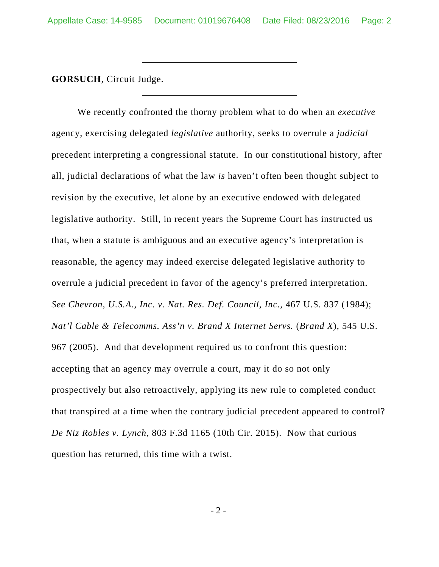**GORSUCH**, Circuit Judge.

We recently confronted the thorny problem what to do when an *executive* agency, exercising delegated *legislative* authority, seeks to overrule a *judicial* precedent interpreting a congressional statute. In our constitutional history, after all, judicial declarations of what the law *is* haven't often been thought subject to revision by the executive, let alone by an executive endowed with delegated legislative authority. Still, in recent years the Supreme Court has instructed us that, when a statute is ambiguous and an executive agency's interpretation is reasonable, the agency may indeed exercise delegated legislative authority to overrule a judicial precedent in favor of the agency's preferred interpretation. *See Chevron, U.S.A., Inc. v. Nat. Res. Def. Council, Inc.*, 467 U.S. 837 (1984); *Nat'l Cable & Telecomms. Ass'n v. Brand X Internet Servs. (Brand X), 545 U.S.* 967 (2005). And that development required us to confront this question: accepting that an agency may overrule a court, may it do so not only prospectively but also retroactively, applying its new rule to completed conduct that transpired at a time when the contrary judicial precedent appeared to control? *De Niz Robles v. Lynch*, 803 F.3d 1165 (10th Cir. 2015). Now that curious question has returned, this time with a twist.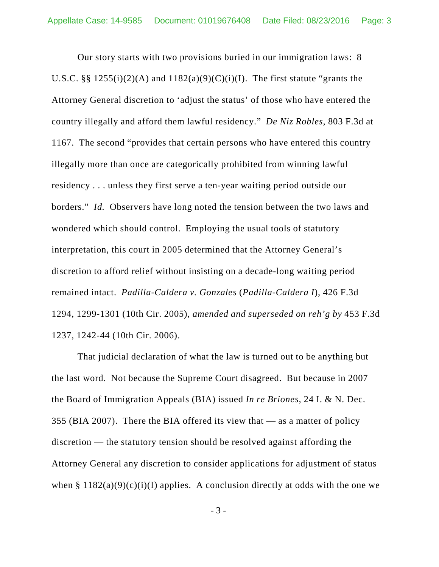Our story starts with two provisions buried in our immigration laws: 8 U.S.C. §§ 1255(i)(2)(A) and  $1182(a)(9)(C)(i)(I)$ . The first statute "grants the Attorney General discretion to 'adjust the status' of those who have entered the country illegally and afford them lawful residency." *De Niz Robles*, 803 F.3d at 1167. The second "provides that certain persons who have entered this country illegally more than once are categorically prohibited from winning lawful residency . . . unless they first serve a ten-year waiting period outside our borders." *Id.* Observers have long noted the tension between the two laws and wondered which should control. Employing the usual tools of statutory interpretation, this court in 2005 determined that the Attorney General's discretion to afford relief without insisting on a decade-long waiting period remained intact. *Padilla-Caldera v. Gonzales* (*Padilla-Caldera I*), 426 F.3d 1294, 1299-1301 (10th Cir. 2005), *amended and superseded on reh'g by* 453 F.3d 1237, 1242-44 (10th Cir. 2006).

That judicial declaration of what the law is turned out to be anything but the last word. Not because the Supreme Court disagreed. But because in 2007 the Board of Immigration Appeals (BIA) issued *In re Briones*, 24 I. & N. Dec. 355 (BIA 2007). There the BIA offered its view that — as a matter of policy discretion — the statutory tension should be resolved against affording the Attorney General any discretion to consider applications for adjustment of status when  $\S 1182(a)(9)(c)(i)(I)$  applies. A conclusion directly at odds with the one we

- 3 -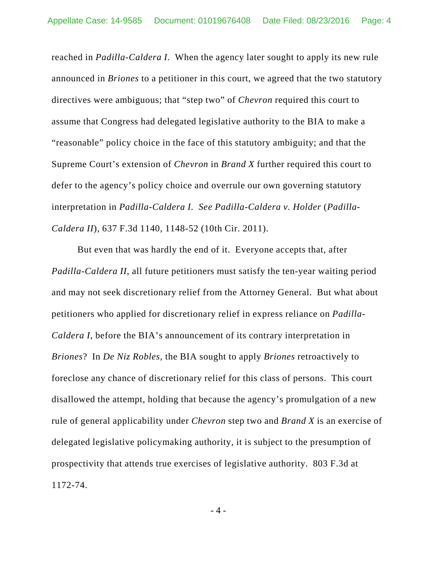reached in *Padilla-Caldera I.* When the agency later sought to apply its new rule announced in *Briones* to a petitioner in this court, we agreed that the two statutory directives were ambiguous; that "step two" of *Chevron* required this court to assume that Congress had delegated legislative authority to the BIA to make a "reasonable" policy choice in the face of this statutory ambiguity; and that the Supreme Court's extension of *Chevron* in *Brand X* further required this court to defer to the agency's policy choice and overrule our own governing statutory interpretation in *Padilla-Caldera I. See Padilla-Caldera v. Holder* (*Padilla-Caldera II*), 637 F.3d 1140, 1148-52 (10th Cir. 2011).

But even that was hardly the end of it. Everyone accepts that, after *Padilla-Caldera II*, all future petitioners must satisfy the ten-year waiting period and may not seek discretionary relief from the Attorney General. But what about petitioners who applied for discretionary relief in express reliance on *Padilla-Caldera I*, before the BIA's announcement of its contrary interpretation in *Briones*? In *De Niz Robles*, the BIA sought to apply *Briones* retroactively to foreclose any chance of discretionary relief for this class of persons. This court disallowed the attempt, holding that because the agency's promulgation of a new rule of general applicability under *Chevron* step two and *Brand X* is an exercise of delegated legislative policymaking authority, it is subject to the presumption of prospectivity that attends true exercises of legislative authority. 803 F.3d at 1172-74.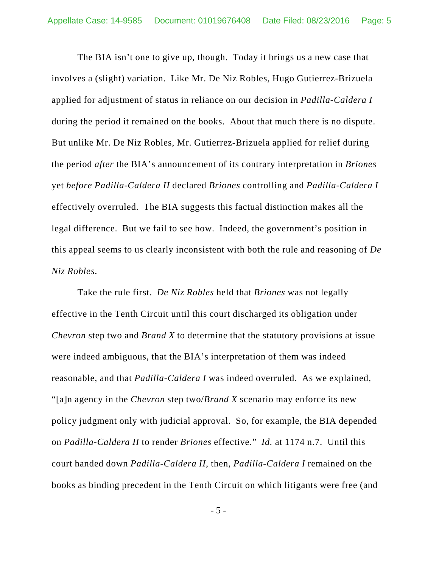The BIA isn't one to give up, though. Today it brings us a new case that involves a (slight) variation. Like Mr. De Niz Robles, Hugo Gutierrez-Brizuela applied for adjustment of status in reliance on our decision in *Padilla-Caldera I* during the period it remained on the books. About that much there is no dispute. But unlike Mr. De Niz Robles, Mr. Gutierrez-Brizuela applied for relief during the period *after* the BIA's announcement of its contrary interpretation in *Briones* yet *before Padilla-Caldera II* declared *Briones* controlling and *Padilla-Caldera I* effectively overruled. The BIA suggests this factual distinction makes all the legal difference. But we fail to see how. Indeed, the government's position in this appeal seems to us clearly inconsistent with both the rule and reasoning of *De Niz Robles*.

Take the rule first. *De Niz Robles* held that *Briones* was not legally effective in the Tenth Circuit until this court discharged its obligation under *Chevron* step two and *Brand X* to determine that the statutory provisions at issue were indeed ambiguous, that the BIA's interpretation of them was indeed reasonable, and that *Padilla-Caldera I* was indeed overruled. As we explained, "[a]n agency in the *Chevron* step two/*Brand X* scenario may enforce its new policy judgment only with judicial approval. So, for example, the BIA depended on *Padilla-Caldera II* to render *Briones* effective." *Id.* at 1174 n.7. Until this court handed down *Padilla-Caldera II*, then, *Padilla-Caldera I* remained on the books as binding precedent in the Tenth Circuit on which litigants were free (and

- 5 -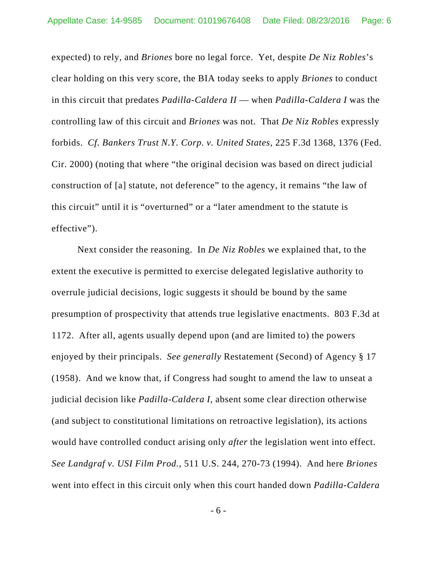expected) to rely, and *Briones* bore no legal force. Yet, despite *De Niz Robles*'s clear holding on this very score, the BIA today seeks to apply *Briones* to conduct in this circuit that predates *Padilla-Caldera II* — when *Padilla-Caldera I* was the controlling law of this circuit and *Briones* was not. That *De Niz Robles* expressly forbids. *Cf. Bankers Trust N.Y. Corp. v. United States*, 225 F.3d 1368, 1376 (Fed. Cir. 2000) (noting that where "the original decision was based on direct judicial construction of [a] statute, not deference" to the agency, it remains "the law of this circuit" until it is "overturned" or a "later amendment to the statute is effective").

Next consider the reasoning. In *De Niz Robles* we explained that, to the extent the executive is permitted to exercise delegated legislative authority to overrule judicial decisions, logic suggests it should be bound by the same presumption of prospectivity that attends true legislative enactments. 803 F.3d at 1172. After all, agents usually depend upon (and are limited to) the powers enjoyed by their principals. *See generally* Restatement (Second) of Agency § 17 (1958). And we know that, if Congress had sought to amend the law to unseat a judicial decision like *Padilla-Caldera I*, absent some clear direction otherwise (and subject to constitutional limitations on retroactive legislation), its actions would have controlled conduct arising only *after* the legislation went into effect. *See Landgraf v. USI Film Prod.*, 511 U.S. 244, 270-73 (1994). And here *Briones* went into effect in this circuit only when this court handed down *Padilla-Caldera*

- 6 -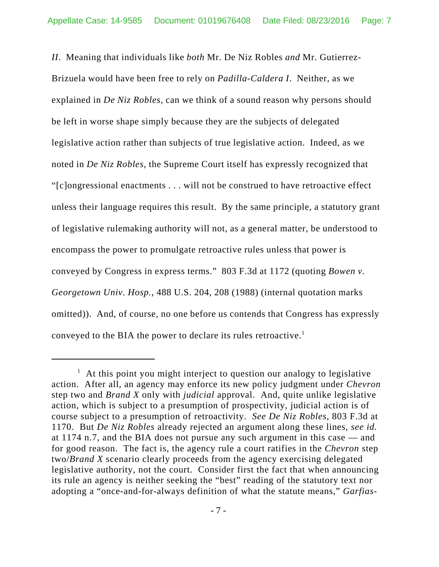*II*.Meaning that individuals like *both* Mr. De Niz Robles *and* Mr. Gutierrez-Brizuela would have been free to rely on *Padilla-Caldera I*. Neither, as we explained in *De Niz Robles*, can we think of a sound reason why persons should be left in worse shape simply because they are the subjects of delegated legislative action rather than subjects of true legislative action. Indeed, as we noted in *De Niz Robles*, the Supreme Court itself has expressly recognized that "[c]ongressional enactments . . . will not be construed to have retroactive effect unless their language requires this result. By the same principle, a statutory grant of legislative rulemaking authority will not, as a general matter, be understood to encompass the power to promulgate retroactive rules unless that power is conveyed by Congress in express terms." 803 F.3d at 1172 (quoting *Bowen v. Georgetown Univ. Hosp.*, 488 U.S. 204, 208 (1988) (internal quotation marks omitted)). And, of course, no one before us contends that Congress has expressly conveyed to the BIA the power to declare its rules retroactive.<sup>1</sup>

<sup>&</sup>lt;sup>1</sup> At this point you might interject to question our analogy to legislative action. After all, an agency may enforce its new policy judgment under *Chevron* step two and *Brand X* only with *judicial* approval. And, quite unlike legislative action, which is subject to a presumption of prospectivity, judicial action is of course subject to a presumption of retroactivity. *See De Niz Robles*, 803 F.3d at 1170. But *De Niz Robles* already rejected an argument along these lines, *see id.* at 1174 n.7, and the BIA does not pursue any such argument in this case — and for good reason. The fact is, the agency rule a court ratifies in the *Chevron* step two/*Brand X* scenario clearly proceeds from the agency exercising delegated legislative authority, not the court. Consider first the fact that when announcing its rule an agency is neither seeking the "best" reading of the statutory text nor adopting a "once-and-for-always definition of what the statute means," *Garfias-*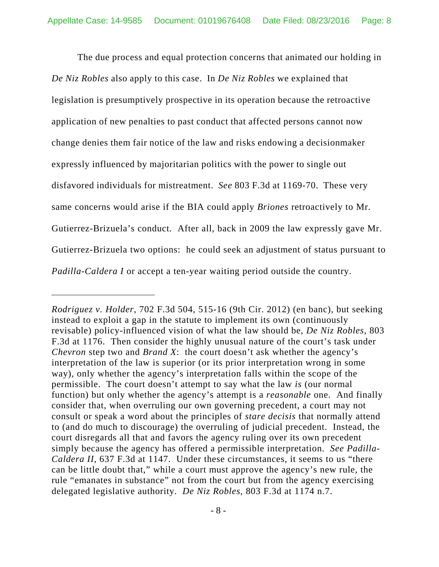The due process and equal protection concerns that animated our holding in *De Niz Robles* also apply to this case. In *De Niz Robles* we explained that legislation is presumptively prospective in its operation because the retroactive application of new penalties to past conduct that affected persons cannot now change denies them fair notice of the law and risks endowing a decisionmaker expressly influenced by majoritarian politics with the power to single out disfavored individuals for mistreatment. *See* 803 F.3d at 1169-70. These very same concerns would arise if the BIA could apply *Briones* retroactively to Mr. Gutierrez-Brizuela's conduct. After all, back in 2009 the law expressly gave Mr. Gutierrez-Brizuela two options: he could seek an adjustment of status pursuant to *Padilla-Caldera I* or accept a ten-year waiting period outside the country.

*Rodriguez v. Holder*, 702 F.3d 504, 515-16 (9th Cir. 2012) (en banc), but seeking instead to exploit a gap in the statute to implement its own (continuously revisable) policy-influenced vision of what the law should be, *De Niz Robles*, 803 F.3d at 1176. Then consider the highly unusual nature of the court's task under *Chevron* step two and *Brand X*: the court doesn't ask whether the agency's interpretation of the law is superior (or its prior interpretation wrong in some way), only whether the agency's interpretation falls within the scope of the permissible. The court doesn't attempt to say what the law *is* (our normal function) but only whether the agency's attempt is a *reasonable* one. And finally consider that, when overruling our own governing precedent, a court may not consult or speak a word about the principles of *stare decisis* that normally attend to (and do much to discourage) the overruling of judicial precedent. Instead, the court disregards all that and favors the agency ruling over its own precedent simply because the agency has offered a permissible interpretation. *See Padilla-Caldera II*, 637 F.3d at 1147. Under these circumstances, it seems to us "there can be little doubt that," while a court must approve the agency's new rule, the rule "emanates in substance" not from the court but from the agency exercising delegated legislative authority. *De Niz Robles*, 803 F.3d at 1174 n.7.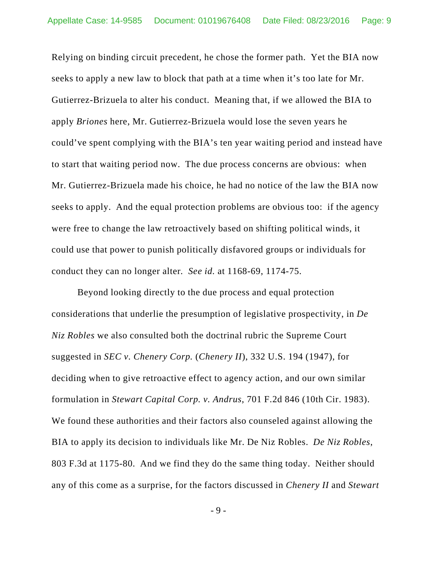Relying on binding circuit precedent, he chose the former path. Yet the BIA now seeks to apply a new law to block that path at a time when it's too late for Mr. Gutierrez-Brizuela to alter his conduct. Meaning that, if we allowed the BIA to apply *Briones* here, Mr. Gutierrez-Brizuela would lose the seven years he could've spent complying with the BIA's ten year waiting period and instead have to start that waiting period now. The due process concerns are obvious: when Mr. Gutierrez-Brizuela made his choice, he had no notice of the law the BIA now seeks to apply. And the equal protection problems are obvious too: if the agency were free to change the law retroactively based on shifting political winds, it could use that power to punish politically disfavored groups or individuals for conduct they can no longer alter*. See id.* at 1168-69, 1174-75.

Beyond looking directly to the due process and equal protection considerations that underlie the presumption of legislative prospectivity, in *De Niz Robles* we also consulted both the doctrinal rubric the Supreme Court suggested in *SEC v. Chenery Corp.* (*Chenery II*), 332 U.S. 194 (1947), for deciding when to give retroactive effect to agency action, and our own similar formulation in *Stewart Capital Corp. v. Andrus*, 701 F.2d 846 (10th Cir. 1983). We found these authorities and their factors also counseled against allowing the BIA to apply its decision to individuals like Mr. De Niz Robles. *De Niz Robles*, 803 F.3d at 1175-80. And we find they do the same thing today. Neither should any of this come as a surprise, for the factors discussed in *Chenery II* and *Stewart*

- 9 -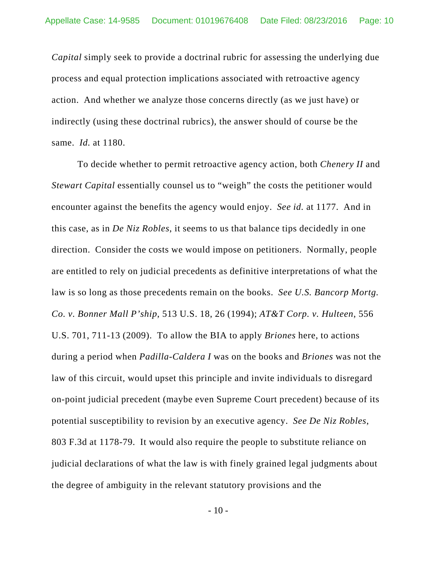*Capital* simply seek to provide a doctrinal rubric for assessing the underlying due process and equal protection implications associated with retroactive agency action. And whether we analyze those concerns directly (as we just have) or indirectly (using these doctrinal rubrics), the answer should of course be the same. *Id.* at 1180.

To decide whether to permit retroactive agency action, both *Chenery II* and *Stewart Capital* essentially counsel us to "weigh" the costs the petitioner would encounter against the benefits the agency would enjoy. *See id.* at 1177. And in this case, as in *De Niz Robles*, it seems to us that balance tips decidedly in one direction. Consider the costs we would impose on petitioners. Normally, people are entitled to rely on judicial precedents as definitive interpretations of what the law is so long as those precedents remain on the books. *See U.S. Bancorp Mortg. Co. v. Bonner Mall P'ship*, 513 U.S. 18, 26 (1994); *AT&T Corp. v. Hulteen*, 556 U.S. 701, 711-13 (2009). To allow the BIA to apply *Briones* here, to actions during a period when *Padilla-Caldera I* was on the books and *Briones* was not the law of this circuit, would upset this principle and invite individuals to disregard on-point judicial precedent (maybe even Supreme Court precedent) because of its potential susceptibility to revision by an executive agency. *See De Niz Robles*, 803 F.3d at 1178-79. It would also require the people to substitute reliance on judicial declarations of what the law is with finely grained legal judgments about the degree of ambiguity in the relevant statutory provisions and the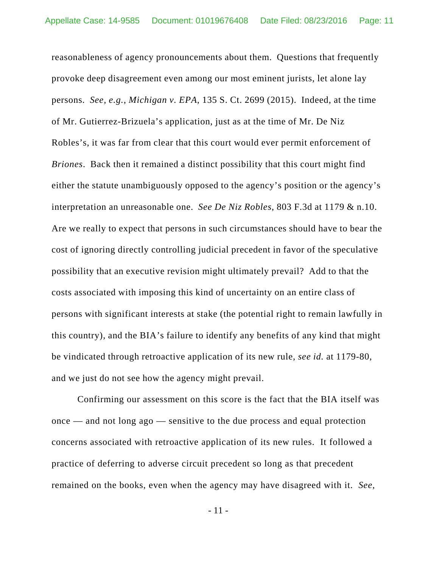reasonableness of agency pronouncements about them. Questions that frequently provoke deep disagreement even among our most eminent jurists, let alone lay persons. *See, e.g.*, *Michigan v. EPA*, 135 S. Ct. 2699 (2015). Indeed, at the time of Mr. Gutierrez-Brizuela's application, just as at the time of Mr. De Niz Robles's, it was far from clear that this court would ever permit enforcement of *Briones*. Back then it remained a distinct possibility that this court might find either the statute unambiguously opposed to the agency's position or the agency's interpretation an unreasonable one. *See De Niz Robles*, 803 F.3d at 1179 & n.10. Are we really to expect that persons in such circumstances should have to bear the cost of ignoring directly controlling judicial precedent in favor of the speculative possibility that an executive revision might ultimately prevail? Add to that the costs associated with imposing this kind of uncertainty on an entire class of persons with significant interests at stake (the potential right to remain lawfully in this country), and the BIA's failure to identify any benefits of any kind that might be vindicated through retroactive application of its new rule, *see id.* at 1179-80, and we just do not see how the agency might prevail.

Confirming our assessment on this score is the fact that the BIA itself was once — and not long ago — sensitive to the due process and equal protection concerns associated with retroactive application of its new rules. It followed a practice of deferring to adverse circuit precedent so long as that precedent remained on the books, even when the agency may have disagreed with it. *See,*

- 11 -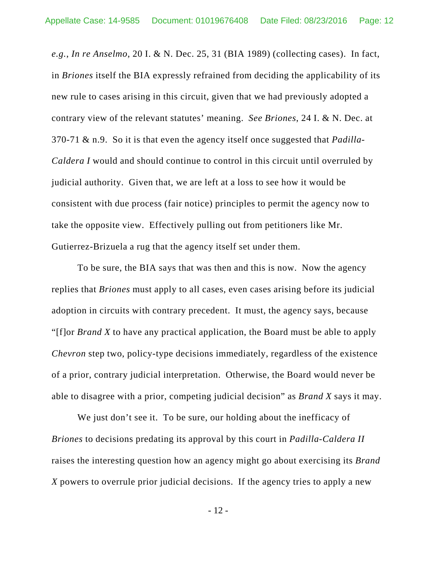*e.g.*, *In re Anselmo*, 20 I. & N. Dec. 25, 31 (BIA 1989) (collecting cases). In fact, in *Briones* itself the BIA expressly refrained from deciding the applicability of its new rule to cases arising in this circuit, given that we had previously adopted a contrary view of the relevant statutes' meaning. *See Briones*, 24 I. & N. Dec. at 370-71 & n.9. So it is that even the agency itself once suggested that *Padilla-Caldera I* would and should continue to control in this circuit until overruled by judicial authority. Given that, we are left at a loss to see how it would be consistent with due process (fair notice) principles to permit the agency now to take the opposite view. Effectively pulling out from petitioners like Mr. Gutierrez-Brizuela a rug that the agency itself set under them.

To be sure, the BIA says that was then and this is now. Now the agency replies that *Briones* must apply to all cases, even cases arising before its judicial adoption in circuits with contrary precedent. It must, the agency says, because "[f]or *Brand X* to have any practical application, the Board must be able to apply *Chevron* step two, policy-type decisions immediately, regardless of the existence of a prior, contrary judicial interpretation. Otherwise, the Board would never be able to disagree with a prior, competing judicial decision" as *Brand X* says it may.

We just don't see it. To be sure, our holding about the inefficacy of *Briones* to decisions predating its approval by this court in *Padilla-Caldera II* raises the interesting question how an agency might go about exercising its *Brand X* powers to overrule prior judicial decisions. If the agency tries to apply a new

- 12 -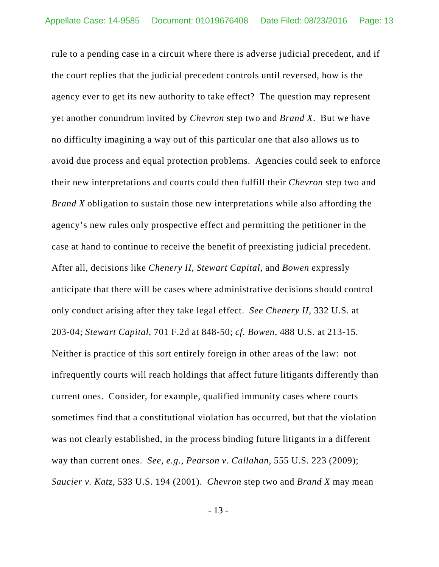rule to a pending case in a circuit where there is adverse judicial precedent, and if the court replies that the judicial precedent controls until reversed, how is the agency ever to get its new authority to take effect? The question may represent yet another conundrum invited by *Chevron* step two and *Brand X*. But we have no difficulty imagining a way out of this particular one that also allows us to avoid due process and equal protection problems. Agencies could seek to enforce their new interpretations and courts could then fulfill their *Chevron* step two and *Brand X* obligation to sustain those new interpretations while also affording the agency's new rules only prospective effect and permitting the petitioner in the case at hand to continue to receive the benefit of preexisting judicial precedent. After all, decisions like *Chenery II*, *Stewart Capital*, and *Bowen* expressly anticipate that there will be cases where administrative decisions should control only conduct arising after they take legal effect. *See Chenery II*, 332 U.S. at 203-04; *Stewart Capital*, 701 F.2d at 848-50; *cf. Bowen*, 488 U.S. at 213-15. Neither is practice of this sort entirely foreign in other areas of the law: not infrequently courts will reach holdings that affect future litigants differently than current ones. Consider, for example, qualified immunity cases where courts sometimes find that a constitutional violation has occurred, but that the violation was not clearly established, in the process binding future litigants in a different way than current ones. *See, e.g.*, *Pearson v. Callahan*, 555 U.S. 223 (2009); *Saucier v. Katz*, 533 U.S. 194 (2001). *Chevron* step two and *Brand X* may mean

- 13 -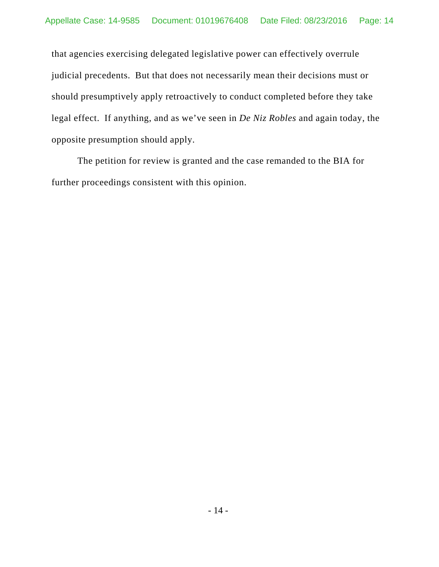that agencies exercising delegated legislative power can effectively overrule judicial precedents. But that does not necessarily mean their decisions must or should presumptively apply retroactively to conduct completed before they take legal effect. If anything, and as we've seen in *De Niz Robles* and again today, the opposite presumption should apply.

The petition for review is granted and the case remanded to the BIA for further proceedings consistent with this opinion.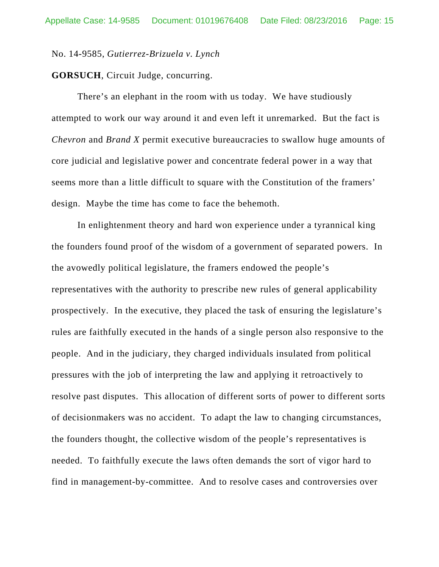No. 14-9585, *Gutierrez-Brizuela v. Lynch*

#### **GORSUCH**, Circuit Judge, concurring.

There's an elephant in the room with us today. We have studiously attempted to work our way around it and even left it unremarked. But the fact is *Chevron* and *Brand X* permit executive bureaucracies to swallow huge amounts of core judicial and legislative power and concentrate federal power in a way that seems more than a little difficult to square with the Constitution of the framers' design. Maybe the time has come to face the behemoth.

In enlightenment theory and hard won experience under a tyrannical king the founders found proof of the wisdom of a government of separated powers. In the avowedly political legislature, the framers endowed the people's representatives with the authority to prescribe new rules of general applicability prospectively. In the executive, they placed the task of ensuring the legislature's rules are faithfully executed in the hands of a single person also responsive to the people. And in the judiciary, they charged individuals insulated from political pressures with the job of interpreting the law and applying it retroactively to resolve past disputes. This allocation of different sorts of power to different sorts of decisionmakers was no accident. To adapt the law to changing circumstances, the founders thought, the collective wisdom of the people's representatives is needed. To faithfully execute the laws often demands the sort of vigor hard to find in management-by-committee. And to resolve cases and controversies over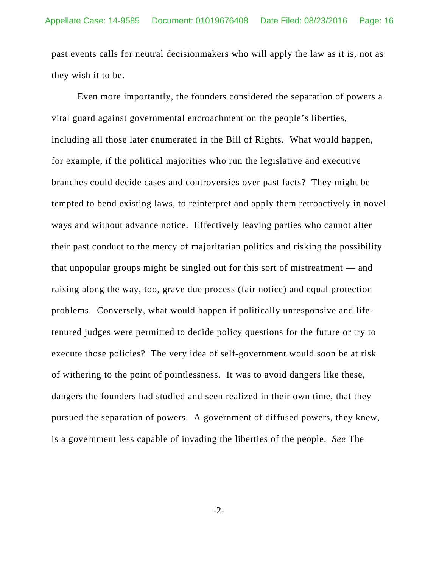past events calls for neutral decisionmakers who will apply the law as it is, not as they wish it to be.

Even more importantly, the founders considered the separation of powers a vital guard against governmental encroachment on the people's liberties, including all those later enumerated in the Bill of Rights*.* What would happen, for example, if the political majorities who run the legislative and executive branches could decide cases and controversies over past facts? They might be tempted to bend existing laws, to reinterpret and apply them retroactively in novel ways and without advance notice. Effectively leaving parties who cannot alter their past conduct to the mercy of majoritarian politics and risking the possibility that unpopular groups might be singled out for this sort of mistreatment — and raising along the way, too, grave due process (fair notice) and equal protection problems. Conversely, what would happen if politically unresponsive and lifetenured judges were permitted to decide policy questions for the future or try to execute those policies? The very idea of self-government would soon be at risk of withering to the point of pointlessness. It was to avoid dangers like these, dangers the founders had studied and seen realized in their own time, that they pursued the separation of powers. A government of diffused powers, they knew, is a government less capable of invading the liberties of the people. *See* The

-2-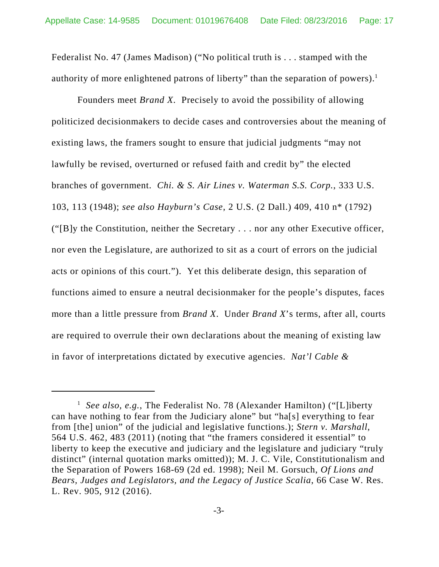Federalist No. 47 (James Madison) ("No political truth is . . . stamped with the authority of more enlightened patrons of liberty" than the separation of powers).<sup>1</sup>

Founders meet *Brand X*. Precisely to avoid the possibility of allowing politicized decisionmakers to decide cases and controversies about the meaning of existing laws, the framers sought to ensure that judicial judgments "may not lawfully be revised, overturned or refused faith and credit by" the elected branches of government. *Chi. & S. Air Lines v. Waterman S.S. Corp.*, 333 U.S. 103, 113 (1948); *see also Hayburn's Case*, 2 U.S. (2 Dall.) 409, 410 n\* (1792) ("[B]y the Constitution, neither the Secretary . . . nor any other Executive officer, nor even the Legislature, are authorized to sit as a court of errors on the judicial acts or opinions of this court."). Yet this deliberate design, this separation of functions aimed to ensure a neutral decisionmaker for the people's disputes, faces more than a little pressure from *Brand X*. Under *Brand X*'s terms, after all, courts are required to overrule their own declarations about the meaning of existing law in favor of interpretations dictated by executive agencies. *Nat'l Cable &*

<sup>&</sup>lt;sup>1</sup> See also, e.g., The Federalist No. 78 (Alexander Hamilton) ("[L]iberty can have nothing to fear from the Judiciary alone" but "ha[s] everything to fear from [the] union" of the judicial and legislative functions.); *Stern v. Marshall*, 564 U.S. 462, 483 (2011) (noting that "the framers considered it essential" to liberty to keep the executive and judiciary and the legislature and judiciary "truly distinct" (internal quotation marks omitted)); M. J. C. Vile, Constitutionalism and the Separation of Powers 168-69 (2d ed. 1998); Neil M. Gorsuch, *Of Lions and Bears, Judges and Legislators, and the Legacy of Justice Scalia*, 66 Case W. Res. L. Rev. 905, 912 (2016).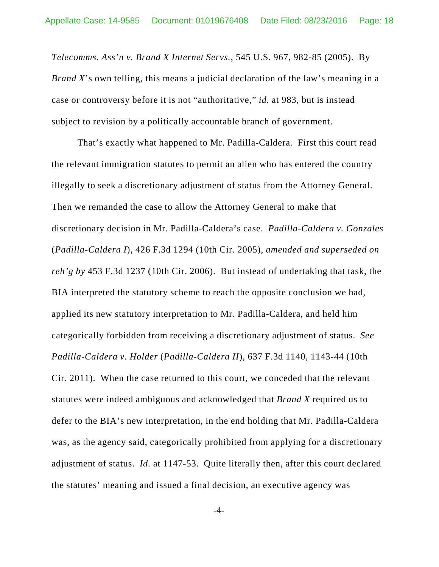*Telecomms. Ass'n v. Brand X Internet Servs.*, 545 U.S. 967, 982-85 (2005). By *Brand X*'s own telling, this means a judicial declaration of the law's meaning in a case or controversy before it is not "authoritative," *id.* at 983, but is instead subject to revision by a politically accountable branch of government.

That's exactly what happened to Mr. Padilla-Caldera*.* First this court read the relevant immigration statutes to permit an alien who has entered the country illegally to seek a discretionary adjustment of status from the Attorney General. Then we remanded the case to allow the Attorney General to make that discretionary decision in Mr. Padilla-Caldera's case. *Padilla-Caldera v. Gonzales* (*Padilla-Caldera I*), 426 F.3d 1294 (10th Cir. 2005), *amended and superseded on reh'g by* 453 F.3d 1237 (10th Cir. 2006). But instead of undertaking that task, the BIA interpreted the statutory scheme to reach the opposite conclusion we had, applied its new statutory interpretation to Mr. Padilla-Caldera, and held him categorically forbidden from receiving a discretionary adjustment of status. *See Padilla-Caldera v. Holder* (*Padilla-Caldera II*), 637 F.3d 1140, 1143-44 (10th Cir. 2011). When the case returned to this court, we conceded that the relevant statutes were indeed ambiguous and acknowledged that *Brand X* required us to defer to the BIA's new interpretation, in the end holding that Mr. Padilla-Caldera was, as the agency said, categorically prohibited from applying for a discretionary adjustment of status. *Id.* at 1147-53. Quite literally then, after this court declared the statutes' meaning and issued a final decision, an executive agency was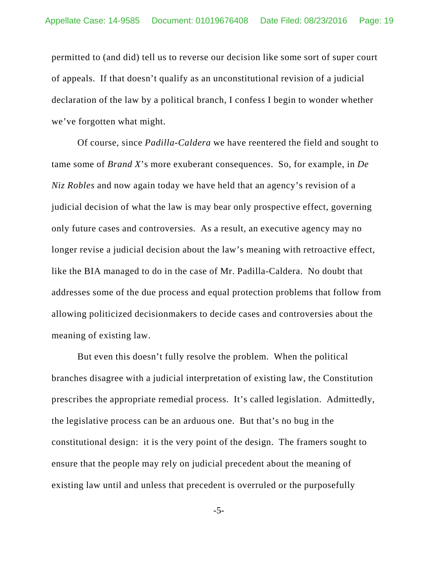permitted to (and did) tell us to reverse our decision like some sort of super court of appeals. If that doesn't qualify as an unconstitutional revision of a judicial declaration of the law by a political branch, I confess I begin to wonder whether we've forgotten what might.

Of course, since *Padilla-Caldera* we have reentered the field and sought to tame some of *Brand X*'s more exuberant consequences. So, for example, in *De Niz Robles* and now again today we have held that an agency's revision of a judicial decision of what the law is may bear only prospective effect, governing only future cases and controversies. As a result, an executive agency may no longer revise a judicial decision about the law's meaning with retroactive effect, like the BIA managed to do in the case of Mr. Padilla-Caldera. No doubt that addresses some of the due process and equal protection problems that follow from allowing politicized decisionmakers to decide cases and controversies about the meaning of existing law.

But even this doesn't fully resolve the problem. When the political branches disagree with a judicial interpretation of existing law, the Constitution prescribes the appropriate remedial process. It's called legislation. Admittedly, the legislative process can be an arduous one. But that's no bug in the constitutional design: it is the very point of the design. The framers sought to ensure that the people may rely on judicial precedent about the meaning of existing law until and unless that precedent is overruled or the purposefully

-5-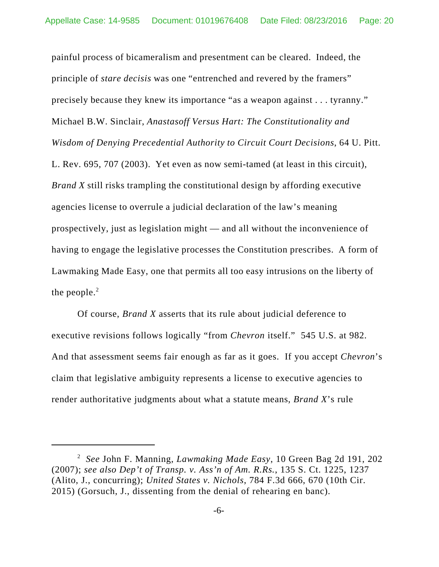painful process of bicameralism and presentment can be cleared. Indeed, the principle of *stare decisis* was one "entrenched and revered by the framers" precisely because they knew its importance "as a weapon against . . . tyranny." Michael B.W. Sinclair, *Anastasoff Versus Hart: The Constitutionality and Wisdom of Denying Precedential Authority to Circuit Court Decisions*, 64 U. Pitt. L. Rev. 695, 707 (2003). Yet even as now semi-tamed (at least in this circuit), *Brand X* still risks trampling the constitutional design by affording executive agencies license to overrule a judicial declaration of the law's meaning prospectively, just as legislation might — and all without the inconvenience of having to engage the legislative processes the Constitution prescribes. A form of Lawmaking Made Easy, one that permits all too easy intrusions on the liberty of the people. $2$ 

Of course, *Brand X* asserts that its rule about judicial deference to executive revisions follows logically "from *Chevron* itself." 545 U.S. at 982. And that assessment seems fair enough as far as it goes. If you accept *Chevron*'s claim that legislative ambiguity represents a license to executive agencies to render authoritative judgments about what a statute means, *Brand X*'s rule

<sup>2</sup> *See* John F. Manning, *Lawmaking Made Easy*, 10 Green Bag 2d 191, 202 (2007); *see also Dep't of Transp. v. Ass'n of Am. R.Rs.*, 135 S. Ct. 1225, 1237 (Alito, J., concurring); *United States v. Nichols*, 784 F.3d 666, 670 (10th Cir. 2015) (Gorsuch, J., dissenting from the denial of rehearing en banc).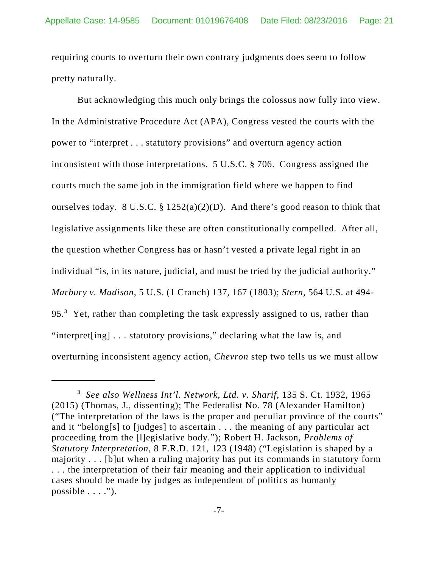requiring courts to overturn their own contrary judgments does seem to follow pretty naturally.

But acknowledging this much only brings the colossus now fully into view. In the Administrative Procedure Act (APA), Congress vested the courts with the power to "interpret . . . statutory provisions" and overturn agency action inconsistent with those interpretations. 5 U.S.C. § 706. Congress assigned the courts much the same job in the immigration field where we happen to find ourselves today. 8 U.S.C. § 1252(a)(2)(D). And there's good reason to think that legislative assignments like these are often constitutionally compelled. After all, the question whether Congress has or hasn't vested a private legal right in an individual "is, in its nature, judicial, and must be tried by the judicial authority." *Marbury v. Madison*, 5 U.S. (1 Cranch) 137, 167 (1803); *Stern*, 564 U.S. at 494- 95.<sup>3</sup> Yet, rather than completing the task expressly assigned to us, rather than "interpret[ing] . . . statutory provisions," declaring what the law is, and overturning inconsistent agency action, *Chevron* step two tells us we must allow

<sup>3</sup> *See also Wellness Int'l. Network, Ltd. v. Sharif*, 135 S. Ct. 1932, 1965 (2015) (Thomas, J., dissenting); The Federalist No. 78 (Alexander Hamilton) ("The interpretation of the laws is the proper and peculiar province of the courts" and it "belong[s] to [judges] to ascertain . . . the meaning of any particular act proceeding from the [l]egislative body."); Robert H. Jackson, *Problems of Statutory Interpretation*, 8 F.R.D. 121, 123 (1948) ("Legislation is shaped by a majority . . . [b]ut when a ruling majority has put its commands in statutory form . . . the interpretation of their fair meaning and their application to individual cases should be made by judges as independent of politics as humanly possible  $\dots$ .").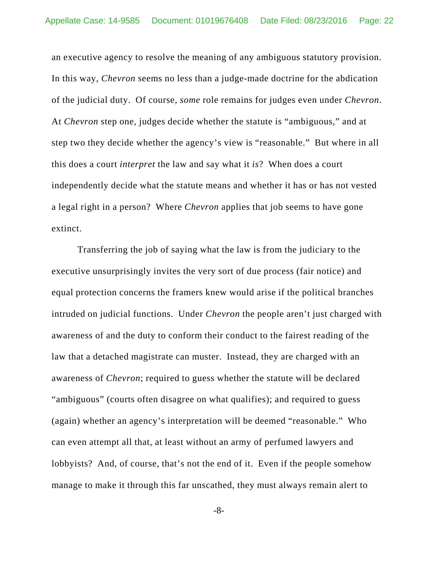an executive agency to resolve the meaning of any ambiguous statutory provision. In this way, *Chevron* seems no less than a judge-made doctrine for the abdication of the judicial duty. Of course, *some* role remains for judges even under *Chevron*. At *Chevron* step one, judges decide whether the statute is "ambiguous," and at step two they decide whether the agency's view is "reasonable." But where in all this does a court *interpret* the law and say what it *is*? When does a court independently decide what the statute means and whether it has or has not vested a legal right in a person? Where *Chevron* applies that job seems to have gone extinct.

Transferring the job of saying what the law is from the judiciary to the executive unsurprisingly invites the very sort of due process (fair notice) and equal protection concerns the framers knew would arise if the political branches intruded on judicial functions. Under *Chevron* the people aren't just charged with awareness of and the duty to conform their conduct to the fairest reading of the law that a detached magistrate can muster. Instead, they are charged with an awareness of *Chevron*; required to guess whether the statute will be declared "ambiguous" (courts often disagree on what qualifies); and required to guess (again) whether an agency's interpretation will be deemed "reasonable." Who can even attempt all that, at least without an army of perfumed lawyers and lobbyists? And, of course, that's not the end of it. Even if the people somehow manage to make it through this far unscathed, they must always remain alert to

-8-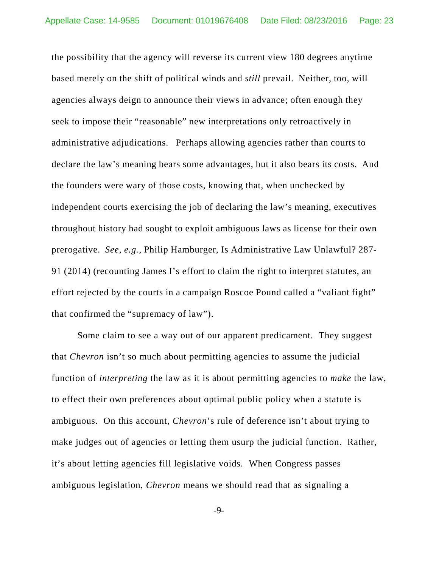the possibility that the agency will reverse its current view 180 degrees anytime based merely on the shift of political winds and *still* prevail. Neither, too, will agencies always deign to announce their views in advance; often enough they seek to impose their "reasonable" new interpretations only retroactively in administrative adjudications. Perhaps allowing agencies rather than courts to declare the law's meaning bears some advantages, but it also bears its costs. And the founders were wary of those costs, knowing that, when unchecked by independent courts exercising the job of declaring the law's meaning, executives throughout history had sought to exploit ambiguous laws as license for their own prerogative. *See, e.g.*, Philip Hamburger, Is Administrative Law Unlawful? 287- 91 (2014) (recounting James I's effort to claim the right to interpret statutes, an effort rejected by the courts in a campaign Roscoe Pound called a "valiant fight" that confirmed the "supremacy of law").

 Some claim to see a way out of our apparent predicament. They suggest that *Chevron* isn't so much about permitting agencies to assume the judicial function of *interpreting* the law as it is about permitting agencies to *make* the law, to effect their own preferences about optimal public policy when a statute is ambiguous. On this account, *Chevron*'s rule of deference isn't about trying to make judges out of agencies or letting them usurp the judicial function. Rather, it's about letting agencies fill legislative voids. When Congress passes ambiguous legislation, *Chevron* means we should read that as signaling a

-9-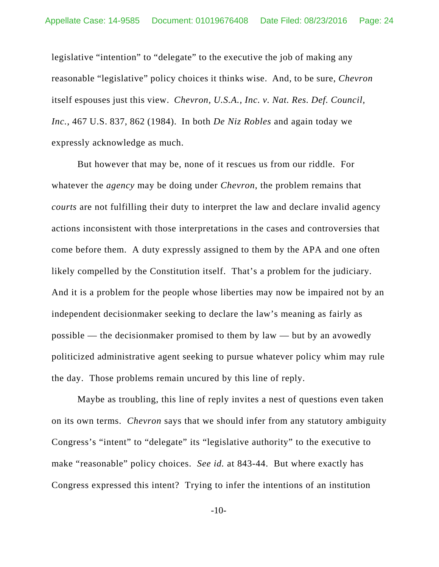legislative "intention" to "delegate" to the executive the job of making any reasonable "legislative" policy choices it thinks wise. And, to be sure, *Chevron* itself espouses just this view. *Chevron, U.S.A., Inc. v. Nat. Res. Def. Council, Inc.*, 467 U.S. 837, 862 (1984). In both *De Niz Robles* and again today we expressly acknowledge as much.

But however that may be, none of it rescues us from our riddle. For whatever the *agency* may be doing under *Chevron*, the problem remains that *courts* are not fulfilling their duty to interpret the law and declare invalid agency actions inconsistent with those interpretations in the cases and controversies that come before them. A duty expressly assigned to them by the APA and one often likely compelled by the Constitution itself. That's a problem for the judiciary. And it is a problem for the people whose liberties may now be impaired not by an independent decisionmaker seeking to declare the law's meaning as fairly as possible — the decisionmaker promised to them by law — but by an avowedly politicized administrative agent seeking to pursue whatever policy whim may rule the day. Those problems remain uncured by this line of reply.

Maybe as troubling, this line of reply invites a nest of questions even taken on its own terms. *Chevron* says that we should infer from any statutory ambiguity Congress's "intent" to "delegate" its "legislative authority" to the executive to make "reasonable" policy choices. *See id.* at 843-44. But where exactly has Congress expressed this intent? Trying to infer the intentions of an institution

-10-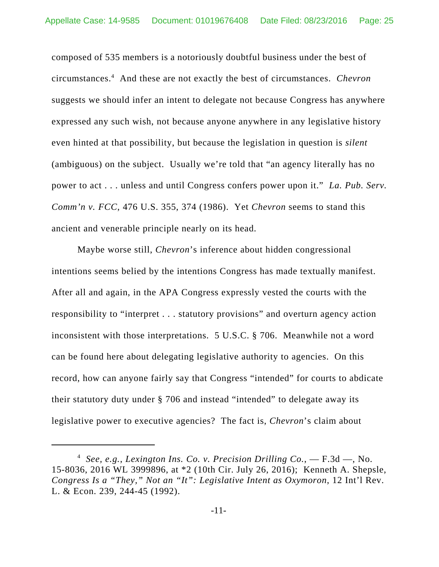composed of 535 members is a notoriously doubtful business under the best of circumstances.4 And these are not exactly the best of circumstances. *Chevron* suggests we should infer an intent to delegate not because Congress has anywhere expressed any such wish, not because anyone anywhere in any legislative history even hinted at that possibility, but because the legislation in question is *silent* (ambiguous) on the subject. Usually we're told that "an agency literally has no power to act . . . unless and until Congress confers power upon it." *La. Pub. Serv. Comm'n v. FCC*, 476 U.S. 355, 374 (1986). Yet *Chevron* seems to stand this ancient and venerable principle nearly on its head.

Maybe worse still, *Chevron*'s inference about hidden congressional intentions seems belied by the intentions Congress has made textually manifest. After all and again, in the APA Congress expressly vested the courts with the responsibility to "interpret . . . statutory provisions" and overturn agency action inconsistent with those interpretations. 5 U.S.C. § 706. Meanwhile not a word can be found here about delegating legislative authority to agencies. On this record, how can anyone fairly say that Congress "intended" for courts to abdicate their statutory duty under § 706 and instead "intended" to delegate away its legislative power to executive agencies? The fact is, *Chevron*'s claim about

<sup>4</sup> *See, e.g.*, *Lexington Ins. Co. v. Precision Drilling Co.*, — F.3d —, No. 15-8036, 2016 WL 3999896, at \*2 (10th Cir. July 26, 2016); Kenneth A. Shepsle, *Congress Is a "They," Not an "It": Legislative Intent as Oxymoron*, 12 Int'l Rev. L. & Econ. 239, 244-45 (1992).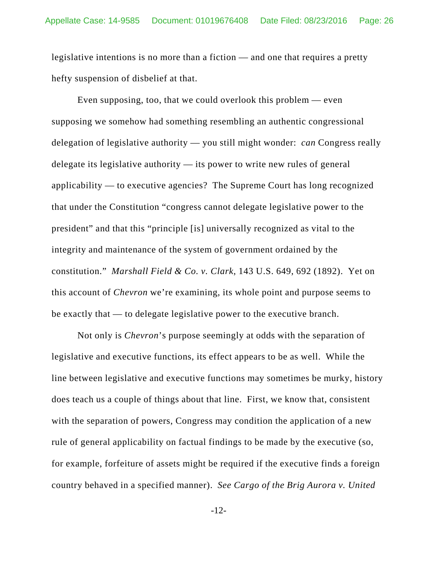legislative intentions is no more than a fiction — and one that requires a pretty hefty suspension of disbelief at that.

Even supposing, too, that we could overlook this problem — even supposing we somehow had something resembling an authentic congressional delegation of legislative authority — you still might wonder: *can* Congress really delegate its legislative authority — its power to write new rules of general applicability — to executive agencies? The Supreme Court has long recognized that under the Constitution "congress cannot delegate legislative power to the president" and that this "principle [is] universally recognized as vital to the integrity and maintenance of the system of government ordained by the constitution." *Marshall Field & Co. v. Clark*, 143 U.S. 649, 692 (1892). Yet on this account of *Chevron* we're examining, its whole point and purpose seems to be exactly that — to delegate legislative power to the executive branch.

Not only is *Chevron*'s purpose seemingly at odds with the separation of legislative and executive functions, its effect appears to be as well. While the line between legislative and executive functions may sometimes be murky, history does teach us a couple of things about that line. First, we know that, consistent with the separation of powers, Congress may condition the application of a new rule of general applicability on factual findings to be made by the executive (so, for example, forfeiture of assets might be required if the executive finds a foreign country behaved in a specified manner). *See Cargo of the Brig Aurora v. United*

-12-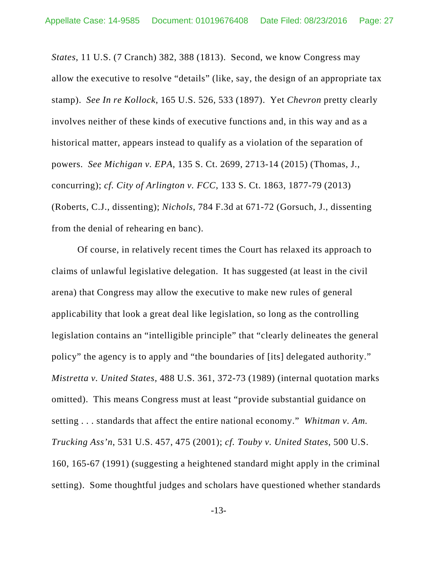*States*, 11 U.S. (7 Cranch) 382, 388 (1813). Second, we know Congress may allow the executive to resolve "details" (like, say, the design of an appropriate tax stamp). *See In re Kollock*, 165 U.S. 526, 533 (1897). Yet *Chevron* pretty clearly involves neither of these kinds of executive functions and, in this way and as a historical matter, appears instead to qualify as a violation of the separation of powers. *See Michigan v. EPA*, 135 S. Ct. 2699, 2713-14 (2015) (Thomas, J., concurring); *cf. City of Arlington v. FCC*, 133 S. Ct. 1863, 1877-79 (2013) (Roberts, C.J., dissenting); *Nichols*, 784 F.3d at 671-72 (Gorsuch, J., dissenting from the denial of rehearing en banc).

Of course, in relatively recent times the Court has relaxed its approach to claims of unlawful legislative delegation. It has suggested (at least in the civil arena) that Congress may allow the executive to make new rules of general applicability that look a great deal like legislation, so long as the controlling legislation contains an "intelligible principle" that "clearly delineates the general policy" the agency is to apply and "the boundaries of [its] delegated authority." *Mistretta v. United States*, 488 U.S. 361, 372-73 (1989) (internal quotation marks omitted). This means Congress must at least "provide substantial guidance on setting . . . standards that affect the entire national economy." *Whitman v. Am. Trucking Ass'n*, 531 U.S. 457, 475 (2001); *cf. Touby v. United States*, 500 U.S. 160, 165-67 (1991) (suggesting a heightened standard might apply in the criminal setting). Some thoughtful judges and scholars have questioned whether standards

-13-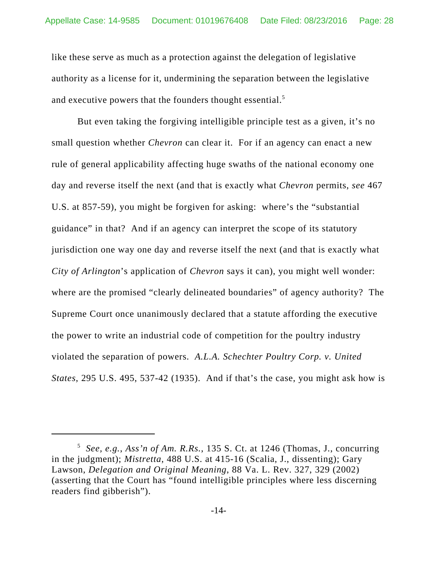like these serve as much as a protection against the delegation of legislative authority as a license for it, undermining the separation between the legislative and executive powers that the founders thought essential.<sup>5</sup>

But even taking the forgiving intelligible principle test as a given, it's no small question whether *Chevron* can clear it. For if an agency can enact a new rule of general applicability affecting huge swaths of the national economy one day and reverse itself the next (and that is exactly what *Chevron* permits, *see* 467 U.S. at 857-59), you might be forgiven for asking: where's the "substantial guidance" in that? And if an agency can interpret the scope of its statutory jurisdiction one way one day and reverse itself the next (and that is exactly what *City of Arlington*'s application of *Chevron* says it can), you might well wonder: where are the promised "clearly delineated boundaries" of agency authority? The Supreme Court once unanimously declared that a statute affording the executive the power to write an industrial code of competition for the poultry industry violated the separation of powers. *A.L.A. Schechter Poultry Corp. v. United States*, 295 U.S. 495, 537-42 (1935). And if that's the case, you might ask how is

<sup>5</sup> *See, e.g.*, *Ass'n of Am. R.Rs.*, 135 S. Ct. at 1246 (Thomas, J., concurring in the judgment); *Mistretta*, 488 U.S. at 415-16 (Scalia, J., dissenting); Gary Lawson, *Delegation and Original Meaning*, 88 Va. L. Rev. 327, 329 (2002) (asserting that the Court has "found intelligible principles where less discerning readers find gibberish").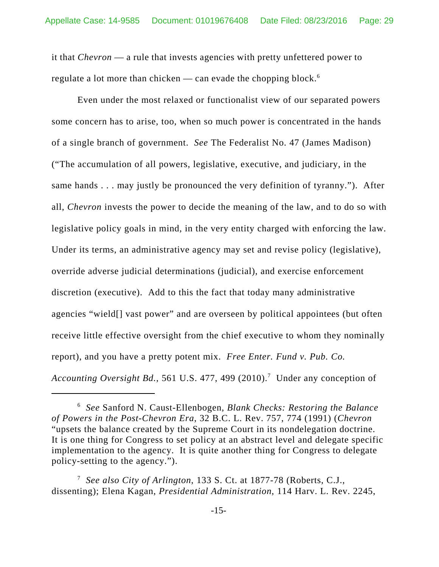it that *Chevron* — a rule that invests agencies with pretty unfettered power to regulate a lot more than chicken — can evade the chopping block.<sup>6</sup>

Even under the most relaxed or functionalist view of our separated powers some concern has to arise, too, when so much power is concentrated in the hands of a single branch of government. *See* The Federalist No. 47 (James Madison) ("The accumulation of all powers, legislative, executive, and judiciary, in the same hands . . . may justly be pronounced the very definition of tyranny."). After all, *Chevron* invests the power to decide the meaning of the law, and to do so with legislative policy goals in mind, in the very entity charged with enforcing the law. Under its terms, an administrative agency may set and revise policy (legislative), override adverse judicial determinations (judicial), and exercise enforcement discretion (executive). Add to this the fact that today many administrative agencies "wield[] vast power" and are overseen by political appointees (but often receive little effective oversight from the chief executive to whom they nominally report), and you have a pretty potent mix. *Free Enter. Fund v. Pub. Co.* Accounting Oversight Bd., 561 U.S. 477, 499 (2010).<sup>7</sup> Under any conception of

<sup>6</sup> *See* Sanford N. Caust-Ellenbogen, *Blank Checks: Restoring the Balance of Powers in the Post-Chevron Era*, 32 B.C. L. Rev. 757, 774 (1991) (*Chevron* "upsets the balance created by the Supreme Court in its nondelegation doctrine. It is one thing for Congress to set policy at an abstract level and delegate specific implementation to the agency. It is quite another thing for Congress to delegate policy-setting to the agency.").

<sup>7</sup> *See also City of Arlington*, 133 S. Ct. at 1877-78 (Roberts, C.J., dissenting); Elena Kagan, *Presidential Administration*, 114 Harv. L. Rev. 2245,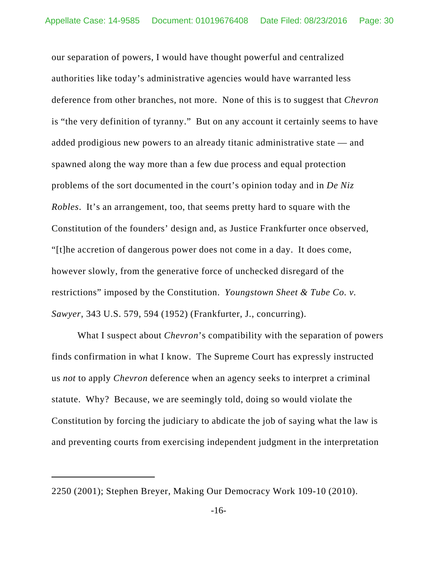our separation of powers, I would have thought powerful and centralized authorities like today's administrative agencies would have warranted less deference from other branches, not more. None of this is to suggest that *Chevron* is "the very definition of tyranny." But on any account it certainly seems to have added prodigious new powers to an already titanic administrative state — and spawned along the way more than a few due process and equal protection problems of the sort documented in the court's opinion today and in *De Niz Robles*. It's an arrangement, too, that seems pretty hard to square with the Constitution of the founders' design and, as Justice Frankfurter once observed, "[t]he accretion of dangerous power does not come in a day. It does come, however slowly, from the generative force of unchecked disregard of the restrictions" imposed by the Constitution. *Youngstown Sheet & Tube Co. v. Sawyer*, 343 U.S. 579, 594 (1952) (Frankfurter, J., concurring).

What I suspect about *Chevron*'s compatibility with the separation of powers finds confirmation in what I know. The Supreme Court has expressly instructed us *not* to apply *Chevron* deference when an agency seeks to interpret a criminal statute. Why? Because, we are seemingly told, doing so would violate the Constitution by forcing the judiciary to abdicate the job of saying what the law is and preventing courts from exercising independent judgment in the interpretation

<sup>2250 (2001);</sup> Stephen Breyer, Making Our Democracy Work 109-10 (2010).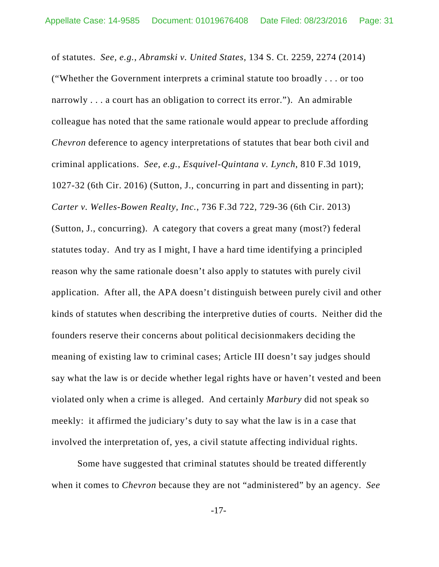of statutes. *See, e.g.*, *Abramski v. United States*, 134 S. Ct. 2259, 2274 (2014) ("Whether the Government interprets a criminal statute too broadly . . . or too narrowly . . . a court has an obligation to correct its error."). An admirable colleague has noted that the same rationale would appear to preclude affording *Chevron* deference to agency interpretations of statutes that bear both civil and criminal applications. *See, e.g.*, *Esquivel-Quintana v. Lynch*, 810 F.3d 1019, 1027-32 (6th Cir. 2016) (Sutton, J., concurring in part and dissenting in part); *Carter v. Welles-Bowen Realty, Inc.*, 736 F.3d 722, 729-36 (6th Cir. 2013) (Sutton, J., concurring). A category that covers a great many (most?) federal statutes today. And try as I might, I have a hard time identifying a principled reason why the same rationale doesn't also apply to statutes with purely civil application. After all, the APA doesn't distinguish between purely civil and other kinds of statutes when describing the interpretive duties of courts. Neither did the founders reserve their concerns about political decisionmakers deciding the meaning of existing law to criminal cases; Article III doesn't say judges should say what the law is or decide whether legal rights have or haven't vested and been violated only when a crime is alleged. And certainly *Marbury* did not speak so meekly: it affirmed the judiciary's duty to say what the law is in a case that involved the interpretation of, yes, a civil statute affecting individual rights.

Some have suggested that criminal statutes should be treated differently when it comes to *Chevron* because they are not "administered" by an agency. *See*

-17-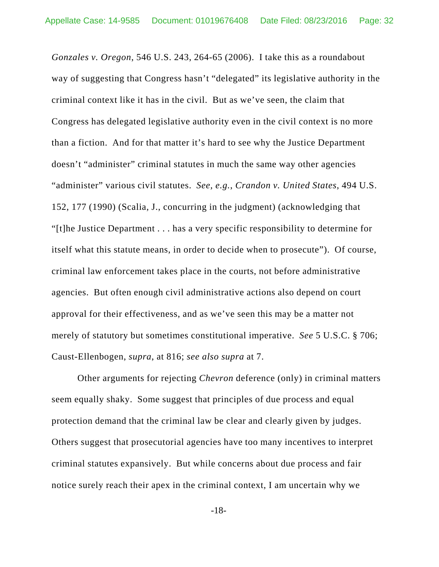*Gonzales v. Oregon*, 546 U.S. 243, 264-65 (2006). I take this as a roundabout way of suggesting that Congress hasn't "delegated" its legislative authority in the criminal context like it has in the civil. But as we've seen, the claim that Congress has delegated legislative authority even in the civil context is no more than a fiction. And for that matter it's hard to see why the Justice Department doesn't "administer" criminal statutes in much the same way other agencies "administer" various civil statutes. *See, e.g.*, *Crandon v. United States*, 494 U.S. 152, 177 (1990) (Scalia, J., concurring in the judgment) (acknowledging that "[t]he Justice Department . . . has a very specific responsibility to determine for itself what this statute means, in order to decide when to prosecute"). Of course, criminal law enforcement takes place in the courts, not before administrative agencies. But often enough civil administrative actions also depend on court approval for their effectiveness, and as we've seen this may be a matter not merely of statutory but sometimes constitutional imperative. *See* 5 U.S.C. § 706; Caust-Ellenbogen, *supra*, at 816; *see also supra* at 7.

Other arguments for rejecting *Chevron* deference (only) in criminal matters seem equally shaky. Some suggest that principles of due process and equal protection demand that the criminal law be clear and clearly given by judges. Others suggest that prosecutorial agencies have too many incentives to interpret criminal statutes expansively. But while concerns about due process and fair notice surely reach their apex in the criminal context, I am uncertain why we

-18-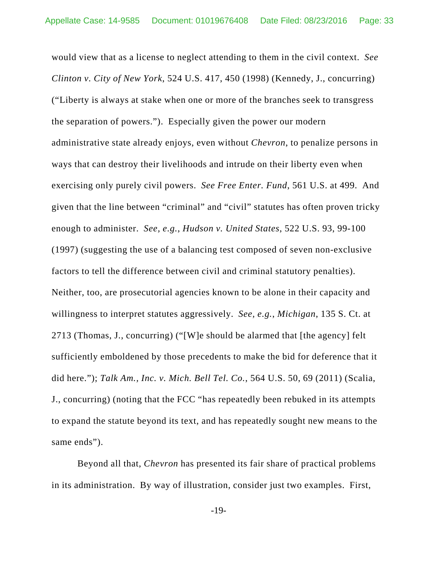would view that as a license to neglect attending to them in the civil context. *See Clinton v. City of New York*, 524 U.S. 417, 450 (1998) (Kennedy, J., concurring) ("Liberty is always at stake when one or more of the branches seek to transgress the separation of powers."). Especially given the power our modern administrative state already enjoys, even without *Chevron*, to penalize persons in ways that can destroy their livelihoods and intrude on their liberty even when exercising only purely civil powers. *See Free Enter. Fund*, 561 U.S. at 499. And given that the line between "criminal" and "civil" statutes has often proven tricky enough to administer. *See, e.g.*, *Hudson v. United States*, 522 U.S. 93, 99-100 (1997) (suggesting the use of a balancing test composed of seven non-exclusive factors to tell the difference between civil and criminal statutory penalties). Neither, too, are prosecutorial agencies known to be alone in their capacity and willingness to interpret statutes aggressively. *See, e.g.*, *Michigan*, 135 S. Ct. at 2713 (Thomas, J., concurring) ("[W]e should be alarmed that [the agency] felt sufficiently emboldened by those precedents to make the bid for deference that it did here."); *Talk Am., Inc. v. Mich. Bell Tel. Co.*, 564 U.S. 50, 69 (2011) (Scalia, J., concurring) (noting that the FCC "has repeatedly been rebuked in its attempts to expand the statute beyond its text, and has repeatedly sought new means to the same ends").

Beyond all that, *Chevron* has presented its fair share of practical problems in its administration. By way of illustration, consider just two examples. First,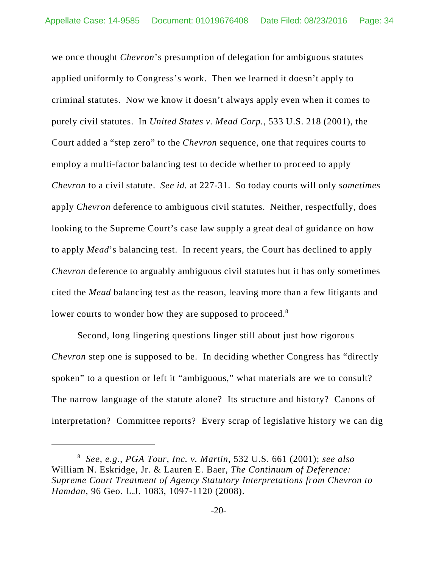we once thought *Chevron*'s presumption of delegation for ambiguous statutes applied uniformly to Congress's work. Then we learned it doesn't apply to criminal statutes. Now we know it doesn't always apply even when it comes to purely civil statutes. In *United States v. Mead Corp.*, 533 U.S. 218 (2001), the Court added a "step zero" to the *Chevron* sequence, one that requires courts to employ a multi-factor balancing test to decide whether to proceed to apply *Chevron* to a civil statute. *See id.* at 227-31. So today courts will only *sometimes* apply *Chevron* deference to ambiguous civil statutes. Neither, respectfully, does looking to the Supreme Court's case law supply a great deal of guidance on how to apply *Mead*'s balancing test. In recent years, the Court has declined to apply *Chevron* deference to arguably ambiguous civil statutes but it has only sometimes cited the *Mead* balancing test as the reason, leaving more than a few litigants and lower courts to wonder how they are supposed to proceed.<sup>8</sup>

Second, long lingering questions linger still about just how rigorous *Chevron* step one is supposed to be. In deciding whether Congress has "directly spoken" to a question or left it "ambiguous," what materials are we to consult? The narrow language of the statute alone? Its structure and history? Canons of interpretation? Committee reports? Every scrap of legislative history we can dig

<sup>8</sup> *See, e.g.*, *PGA Tour, Inc. v. Martin*, 532 U.S. 661 (2001); *see also* William N. Eskridge, Jr. & Lauren E. Baer, *The Continuum of Deference: Supreme Court Treatment of Agency Statutory Interpretations from Chevron to Hamdan*, 96 Geo. L.J. 1083, 1097-1120 (2008).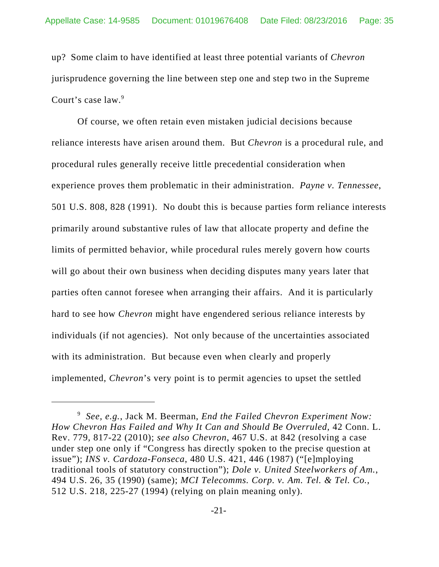up? Some claim to have identified at least three potential variants of *Chevron* jurisprudence governing the line between step one and step two in the Supreme Court's case law.9

Of course, we often retain even mistaken judicial decisions because reliance interests have arisen around them. But *Chevron* is a procedural rule, and procedural rules generally receive little precedential consideration when experience proves them problematic in their administration. *Payne v. Tennessee*, 501 U.S. 808, 828 (1991). No doubt this is because parties form reliance interests primarily around substantive rules of law that allocate property and define the limits of permitted behavior, while procedural rules merely govern how courts will go about their own business when deciding disputes many years later that parties often cannot foresee when arranging their affairs. And it is particularly hard to see how *Chevron* might have engendered serious reliance interests by individuals (if not agencies). Not only because of the uncertainties associated with its administration. But because even when clearly and properly implemented, *Chevron*'s very point is to permit agencies to upset the settled

<sup>9</sup> *See, e.g.*, Jack M. Beerman, *End the Failed Chevron Experiment Now: How Chevron Has Failed and Why It Can and Should Be Overruled*, 42 Conn. L. Rev. 779, 817-22 (2010); *see also Chevron*, 467 U.S. at 842 (resolving a case under step one only if "Congress has directly spoken to the precise question at issue"); *INS v. Cardoza-Fonseca*, 480 U.S. 421, 446 (1987) ("[e]mploying traditional tools of statutory construction"); *Dole v. United Steelworkers of Am.*, 494 U.S. 26, 35 (1990) (same); *MCI Telecomms. Corp. v. Am. Tel. & Tel. Co.*, 512 U.S. 218, 225-27 (1994) (relying on plain meaning only).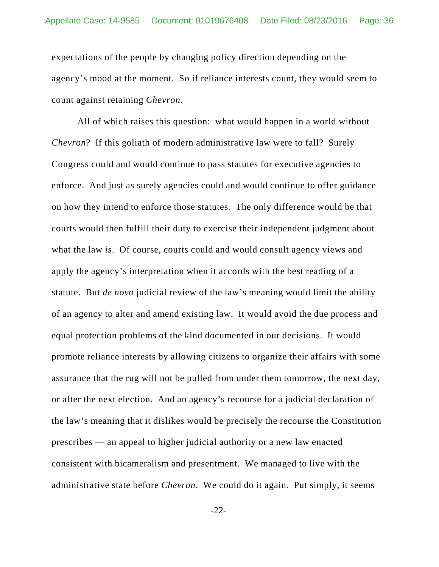expectations of the people by changing policy direction depending on the agency's mood at the moment. So if reliance interests count, they would seem to count against retaining *Chevron*.

All of which raises this question: what would happen in a world without *Chevron*? If this goliath of modern administrative law were to fall? Surely Congress could and would continue to pass statutes for executive agencies to enforce. And just as surely agencies could and would continue to offer guidance on how they intend to enforce those statutes. The only difference would be that courts would then fulfill their duty to exercise their independent judgment about what the law *is*. Of course, courts could and would consult agency views and apply the agency's interpretation when it accords with the best reading of a statute. But *de novo* judicial review of the law's meaning would limit the ability of an agency to alter and amend existing law. It would avoid the due process and equal protection problems of the kind documented in our decisions. It would promote reliance interests by allowing citizens to organize their affairs with some assurance that the rug will not be pulled from under them tomorrow, the next day, or after the next election. And an agency's recourse for a judicial declaration of the law's meaning that it dislikes would be precisely the recourse the Constitution prescribes — an appeal to higher judicial authority or a new law enacted consistent with bicameralism and presentment. We managed to live with the administrative state before *Chevron*. We could do it again. Put simply, it seems

-22-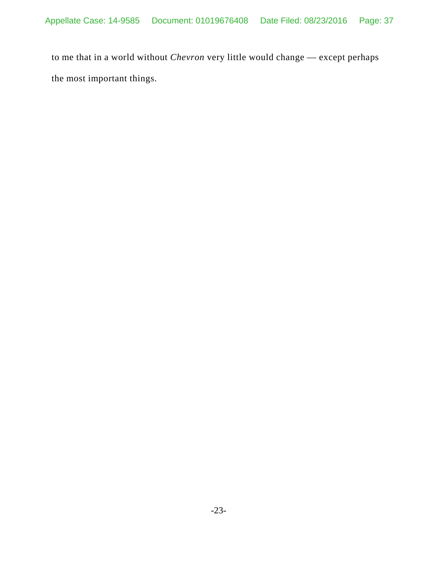to me that in a world without *Chevron* very little would change — except perhaps the most important things.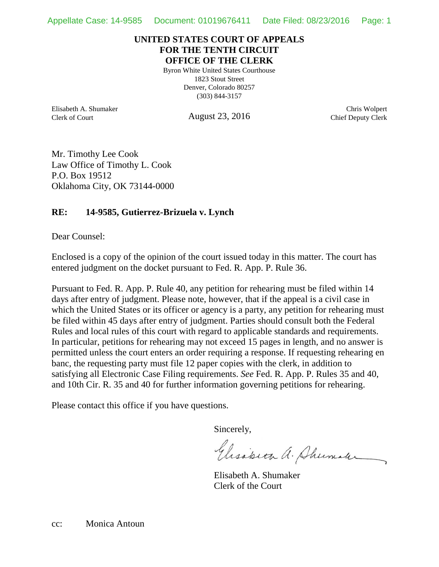### **UNITED STATES COURT OF APPEALS FOR THE TENTH CIRCUIT OFFICE OF THE CLERK**

Byron White United States Courthouse 1823 Stout Street Denver, Colorado 80257 (303) 844-3157

Elisabeth A. Shumaker Clerk of Court

August 23, 2016

Chris Wolpert Chief Deputy Clerk

Mr. Timothy Lee Cook Law Office of Timothy L. Cook P.O. Box 19512 Oklahoma City, OK 73144-0000

# **RE: 14-9585, Gutierrez-Brizuela v. Lynch**

Dear Counsel:

Enclosed is a copy of the opinion of the court issued today in this matter. The court has entered judgment on the docket pursuant to Fed. R. App. P. Rule 36.

Pursuant to Fed. R. App. P. Rule 40, any petition for rehearing must be filed within 14 days after entry of judgment. Please note, however, that if the appeal is a civil case in which the United States or its officer or agency is a party, any petition for rehearing must be filed within 45 days after entry of judgment. Parties should consult both the Federal Rules and local rules of this court with regard to applicable standards and requirements. In particular, petitions for rehearing may not exceed 15 pages in length, and no answer is permitted unless the court enters an order requiring a response. If requesting rehearing en banc, the requesting party must file 12 paper copies with the clerk, in addition to satisfying all Electronic Case Filing requirements. *See* Fed. R. App. P. Rules 35 and 40, and 10th Cir. R. 35 and 40 for further information governing petitions for rehearing.

Please contact this office if you have questions.

Sincerely,

Glisabeth a. Shumaker

Elisabeth A. Shumaker Clerk of the Court